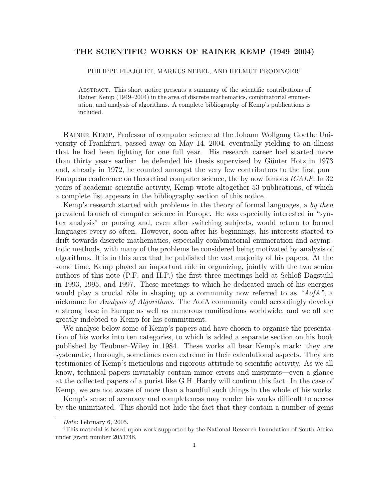# **THE SCIENTIFIC WORKS OF RAINER KEMP (1949–2004)**

#### PHILIPPE FLAJOLET, MARKUS NEBEL, AND HELMUT PRODINGER‡

Abstract. This short notice presents a summary of the scientific contributions of Rainer Kemp (1949–2004) in the area of discrete mathematics, combinatorial enumeration, and analysis of algorithms. A complete bibliography of Kemp's publications is included.

Rainer Kemp, Professor of computer science at the Johann Wolfgang Goethe University of Frankfurt, passed away on May 14, 2004, eventually yielding to an illness that he had been fighting for one full year. His research career had started more than thirty years earlier: he defended his thesis supervised by Günter Hotz in 1973 and, already in 1972, he counted amongst the very few contributors to the first pan– European conference on theoretical computer science, the by now famous *ICALP*. In 32 years of academic scientific activity, Kemp wrote altogether 53 publications, of which a complete list appears in the bibliography section of this notice.

Kemp's research started with problems in the theory of formal languages, a *by then* prevalent branch of computer science in Europe. He was especially interested in "syntax analysis" or parsing and, even after switching subjects, would return to formal languages every so often. However, soon after his beginnings, his interests started to drift towards discrete mathematics, especially combinatorial enumeration and asymptotic methods, with many of the problems he considered being motivated by analysis of algorithms. It is in this area that he published the vast majority of his papers. At the same time, Kemp played an important rôle in organizing, jointly with the two senior authors of this note (P.F. and H.P.) the first three meetings held at Schloß Dagstuhl in 1993, 1995, and 1997. These meetings to which he dedicated much of his energies would play a crucial rôle in shaping up a community now referred to as "AofA", a nickname for *Analysis of Algorithms*. The AofA community could accordingly develop a strong base in Europe as well as numerous ramifications worldwide, and we all are greatly indebted to Kemp for his commitment.

We analyse below some of Kemp's papers and have chosen to organise the presentation of his works into ten categories, to which is added a separate section on his book published by Teubner–Wiley in 1984. These works all bear Kemp's mark: they are systematic, thorough, sometimes even extreme in their calculational aspects. They are testimonies of Kemp's meticulous and rigorous attitude to scientific activity. As we all know, technical papers invariably contain minor errors and misprints—even a glance at the collected papers of a purist like G.H. Hardy will confirm this fact. In the case of Kemp, we are not aware of more than a handful such things in the whole of his works.

Kemp's sense of accuracy and completeness may render his works difficult to access by the uninitiated. This should not hide the fact that they contain a number of gems

*Date*: February 6, 2005.

<sup>‡</sup>This material is based upon work supported by the National Research Foundation of South Africa under grant number 2053748.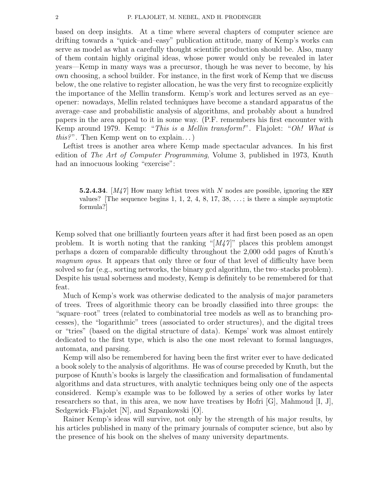based on deep insights. At a time where several chapters of computer science are drifting towards a "quick–and–easy" publication attitude, many of Kemp's works can serve as model as what a carefully thought scientific production should be. Also, many of them contain highly original ideas, whose power would only be revealed in later years—Kemp in many ways was a precursor, though he was never to become, by his own choosing, a school builder. For instance, in the first work of Kemp that we discuss below, the one relative to register allocation, he was the very first to recognize explicitly the importance of the Mellin transform. Kemp's work and lectures served as an eye– opener: nowadays, Mellin related techniques have become a standard apparatus of the average–case and probabilistic analysis of algorithms, and probably about a hundred papers in the area appeal to it in some way. (P.F. remembers his first encounter with Kemp around 1979. Kemp: "*This is a Mellin transform!*". Flajolet: "*Oh! What is this?*". Then Kemp went on to explain. . . )

Leftist trees is another area where Kemp made spectacular advances. In his first edition of *The Art of Computer Programming*, Volume 3, published in 1973, Knuth had an innocuous looking "exercise":

**5.2.4.34**. [*M47* ] How many leftist trees with *N* nodes are possible, ignoring the KEY values? [The sequence begins 1, 1, 2, 4, 8, 17, 38,  $\dots$ ; is there a simple asymptotic formula?]

Kemp solved that one brilliantly fourteen years after it had first been posed as an open problem. It is worth noting that the ranking " $[M_47]$ " places this problem amongst perhaps a dozen of comparable difficulty throughout the 2,000 odd pages of Knuth's *magnum opus*. It appears that only three or four of that level of difficulty have been solved so far (e.g., sorting networks, the binary gcd algorithm, the two–stacks problem). Despite his usual soberness and modesty, Kemp is definitely to be remembered for that feat.

Much of Kemp's work was otherwise dedicated to the analysis of major parameters of trees. Trees of algorithmic theory can be broadly classified into three groups: the "square–root" trees (related to combinatorial tree models as well as to branching processes), the "logarithmic" trees (associated to order structures), and the digital trees or "tries" (based on the digital structure of data). Kemps' work was almost entirely dedicated to the first type, which is also the one most relevant to formal languages, automata, and parsing.

Kemp will also be remembered for having been the first writer ever to have dedicated a book solely to the analysis of algorithms. He was of course preceded by Knuth, but the purpose of Knuth's books is largely the classification and formalisation of fundamental algorithms and data structures, with analytic techniques being only one of the aspects considered. Kemp's example was to be followed by a series of other works by later researchers so that, in this area, we now have treatises by Hofri  $[G]$ , Mahmoud  $[I, J]$ , Sedgewick–Flajolet [N], and Szpankowski [O].

Rainer Kemp's ideas will survive, not only by the strength of his major results, by his articles published in many of the primary journals of computer science, but also by the presence of his book on the shelves of many university departments.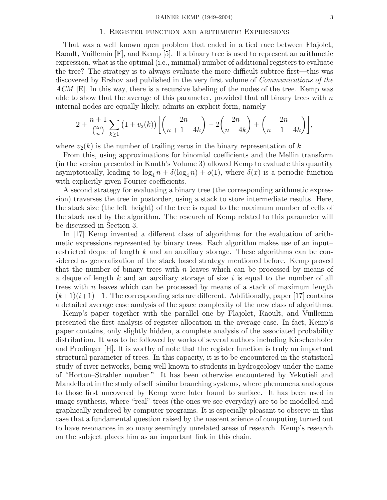## 1. Register function and arithmetic Expressions

That was a well–known open problem that ended in a tied race between Flajolet, Raoult, Vuillemin [F], and Kemp [5]. If a binary tree is used to represent an arithmetic expression, what is the optimal (i.e., minimal) number of additional registers to evaluate the tree? The strategy is to always evaluate the more difficult subtree first—this was discovered by Ershov and published in the very first volume of *Communications of the ACM* [E]. In this way, there is a recursive labeling of the nodes of the tree. Kemp was able to show that the average of this parameter, provided that all binary trees with  $n$ internal nodes are equally likely, admits an explicit form, namely

$$
2 + \frac{n+1}{\binom{2n}{n}} \sum_{k \ge 1} (1 + v_2(k)) \left[ \binom{2n}{n+1-4k} - 2 \binom{2n}{n-4k} + \binom{2n}{n-1-4k} \right],
$$

where  $v_2(k)$  is the number of trailing zeros in the binary representation of k.

From this, using approximations for binomial coefficients and the Mellin transform (in the version presented in Knuth's Volume 3) allowed Kemp to evaluate this quantity asymptotically, leading to  $\log_4 n + \delta(\log_4 n) + o(1)$ , where  $\delta(x)$  is a periodic function with explicitly given Fourier coefficients.

A second strategy for evaluating a binary tree (the corresponding arithmetic expression) traverses the tree in postorder, using a stack to store intermediate results. Here, the stack size (the left–height) of the tree is equal to the maximum number of cells of the stack used by the algorithm. The research of Kemp related to this parameter will be discussed in Section 3.

In [17] Kemp invented a different class of algorithms for the evaluation of arithmetic expressions represented by binary trees. Each algorithm makes use of an input– restricted deque of length  $k$  and an auxiliary storage. These algorithms can be considered as generalization of the stack based strategy mentioned before. Kemp proved that the number of binary trees with  $n$  leaves which can be processed by means of a deque of length k and an auxiliary storage of size i is equal to the number of all trees with n leaves which can be processed by means of a stack of maximum length  $(k+1)(i+1)-1$ . The corresponding sets are different. Additionally, paper [17] contains a detailed average case analysis of the space complexity of the new class of algorithms.

Kemp's paper together with the parallel one by Flajolet, Raoult, and Vuillemin presented the first analysis of register allocation in the average case. In fact, Kemp's paper contains, only slightly hidden, a complete analysis of the associated probability distribution. It was to be followed by works of several authors including Kirschenhofer and Prodinger [H]. It is worthy of note that the register function is truly an important structural parameter of trees. In this capacity, it is to be encountered in the statistical study of river networks, being well known to students in hydrogeology under the name of "Horton–Strahler number." It has been otherwise encountered by Yekutieli and Mandelbrot in the study of self–similar branching systems, where phenomena analogous to those first uncovered by Kemp were later found to surface. It has been used in image synthesis, where "real" trees (the ones we see everyday) are to be modelled and graphically rendered by computer programs. It is especially pleasant to observe in this case that a fundamental question raised by the nascent science of computing turned out to have resonances in so many seemingly unrelated areas of research. Kemp's research on the subject places him as an important link in this chain.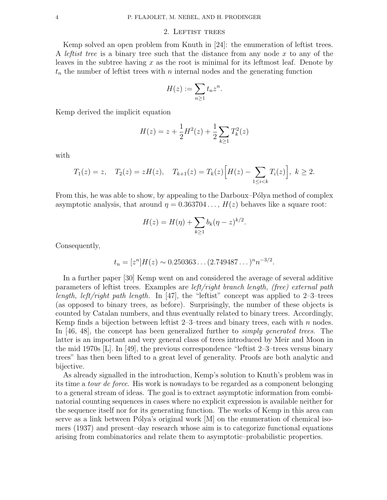# 2. LEFTIST TREES

Kemp solved an open problem from Knuth in [24]: the enumeration of leftist trees. A *leftist tree* is a binary tree such that the distance from any node x to any of the leaves in the subtree having  $x$  as the root is minimal for its leftmost leaf. Denote by  $t_n$  the number of leftist trees with n internal nodes and the generating function

$$
H(z) := \sum_{n\geq 1} t_n z^n.
$$

Kemp derived the implicit equation

$$
H(z) = z + \frac{1}{2}H^{2}(z) + \frac{1}{2}\sum_{k \geq 1} T_{k}^{2}(z)
$$

with

$$
T_1(z) = z
$$
,  $T_2(z) = zH(z)$ ,  $T_{k+1}(z) = T_k(z) \Big[ H(z) - \sum_{1 \le i < k} T_i(z) \Big], k \ge 2$ .

From this, he was able to show, by appealing to the Darboux–Pólya method of complex asymptotic analysis, that around  $\eta = 0.363704...$ ,  $H(z)$  behaves like a square root:

$$
H(z) = H(\eta) + \sum_{k \ge 1} b_k (\eta - z)^{k/2}.
$$

Consequently,

$$
t_n = [z^n]H(z) \sim 0.250363\ldots (2.749487\ldots)^n n^{-3/2}.
$$

In a further paper [30] Kemp went on and considered the average of several additive parameters of leftist trees. Examples are *left/right branch length, (free) external path length, left/right path length.* In [47], the "leftist" concept was applied to 2–3–trees (as opposed to binary trees, as before). Surprisingly, the number of these objects is counted by Catalan numbers, and thus eventually related to binary trees. Accordingly, Kemp finds a bijection between leftist  $2-3$ -trees and binary trees, each with n nodes. In [46, 48], the concept has been generalized further to *simply generated trees*. The latter is an important and very general class of trees introduced by Meir and Moon in the mid 1970s [L]. In [49], the previous correspondence "leftist 2–3–trees versus binary trees" has then been lifted to a great level of generality. Proofs are both analytic and bijective.

As already signalled in the introduction, Kemp's solution to Knuth's problem was in its time a *tour de force*. His work is nowadays to be regarded as a component belonging to a general stream of ideas. The goal is to extract asymptotic information from combinatorial counting sequences in cases where no explicit expression is available neither for the sequence itself nor for its generating function. The works of Kemp in this area can serve as a link between Pólya's original work  $[M]$  on the enumeration of chemical isomers (1937) and present–day research whose aim is to categorize functional equations arising from combinatorics and relate them to asymptotic–probabilistic properties.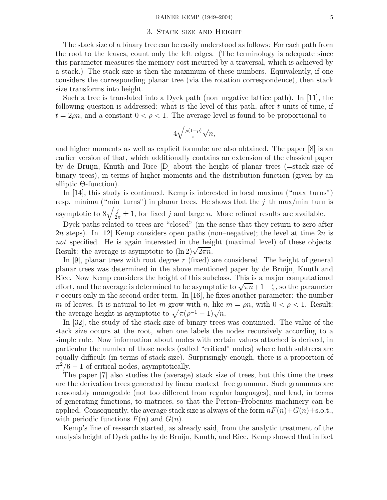## 3. Stack size and Height

The stack size of a binary tree can be easily understood as follows: For each path from the root to the leaves, count only the left edges. (The terminology is adequate since this parameter measures the memory cost incurred by a traversal, which is achieved by a stack.) The stack size is then the maximum of these numbers. Equivalently, if one considers the corresponding planar tree (via the rotation correspondence), then stack size transforms into height.

Such a tree is translated into a Dyck path (non–negative lattice path). In [11], the following question is addressed: what is the level of this path, after  $t$  units of time, if  $t = 2\rho n$ , and a constant  $0 < \rho < 1$ . The average level is found to be proportional to

$$
4\sqrt{\tfrac{\rho(1-\rho)}{\pi}}\sqrt{n},
$$

and higher moments as well as explicit formulæ are also obtained. The paper [8] is an earlier version of that, which additionally contains an extension of the classical paper by de Bruijn, Knuth and Rice [D] about the height of planar trees (=stack size of binary trees), in terms of higher moments and the distribution function (given by an elliptic Θ-function).

In [14], this study is continued. Kemp is interested in local maxima ("max–turns") resp. minima ("min-turns") in planar trees. He shows that the  $j$ -th max/min-turn is asymptotic to  $8\sqrt{\frac{j}{2\pi}} \pm 1$ , for fixed j and large n. More refined results are available.

Dyck paths related to trees are "closed" (in the sense that they return to zero after 2n steps). In [12] Kemp considers open paths (non–negative); the level at time  $2n$  is not specified. He is again interested in the height (maximal level) of these objects. Result: the average is asymptotic to  $(\ln 2)\sqrt{2\pi n}$ .

In  $[9]$ , planar trees with root degree r (fixed) are considered. The height of general planar trees was determined in the above mentioned paper by de Bruijn, Knuth and Rice. Now Kemp considers the height of this subclass. This is a major computational effort, and the average is determined to be asymptotic to  $\sqrt{\pi n} + 1 - \frac{r}{2}$ , so the parameter  $r$  occurs only in the second order term. In [16], he fixes another parameter: the number m of leaves. It is natural to let m grow with n, like  $m = \rho n$ , with  $0 < \rho < 1$ . Result: the average height is asymptotic to  $\sqrt{\pi(\rho^{-1}-1)}\sqrt{n}$ .

In [32], the study of the stack size of binary trees was continued. The value of the stack size occurs at the root, when one labels the nodes recursively according to a simple rule. Now information about nodes with certain values attached is derived, in particular the number of those nodes (called "critical" nodes) where both subtrees are equally difficult (in terms of stack size). Surprisingly enough, there is a proportion of  $\pi^2/6 - 1$  of critical nodes, asymptotically.

The paper [7] also studies the (average) stack size of trees, but this time the trees are the derivation trees generated by linear context–free grammar. Such grammars are reasonably manageable (not too different from regular languages), and lead, in terms of generating functions, to matrices, so that the Perron–Frobenius machinery can be applied. Consequently, the average stack size is always of the form  $nF(n)+G(n)+s.o.t.,$ with periodic functions  $F(n)$  and  $G(n)$ .

Kemp's line of research started, as already said, from the analytic treatment of the analysis height of Dyck paths by de Bruijn, Knuth, and Rice. Kemp showed that in fact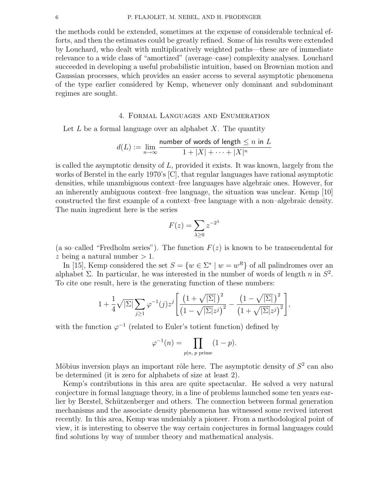the methods could be extended, sometimes at the expense of considerable technical efforts, and then the estimates could be greatly refined. Some of his results were extended by Louchard, who dealt with multiplicatively weighted paths—these are of immediate relevance to a wide class of "amortized" (average–case) complexity analyses. Louchard succeeded in developing a useful probabilistic intuition, based on Brownian motion and Gaussian processes, which provides an easier access to several asymptotic phenomena of the type earlier considered by Kemp, whenever only dominant and subdominant regimes are sought.

# 4. Formal Languages and Enumeration

Let  $L$  be a formal language over an alphabet  $X$ . The quantity

$$
d(L) := \lim_{n \to \infty} \frac{\text{number of words of length} \le n \text{ in } L}{1 + |X| + \dots + |X|^n}
$$

is called the asymptotic density of  $L$ , provided it exists. It was known, largely from the works of Berstel in the early 1970's [C], that regular languages have rational asymptotic densities, while unambiguous context–free languages have algebraic ones. However, for an inherently ambiguous context–free language, the situation was unclear. Kemp [10] constructed the first example of a context–free language with a non–algebraic density. The main ingredient here is the series

$$
F(z) = \sum_{\lambda \ge 0} z^{-2^{\lambda}}
$$

(a so–called "Fredholm series"). The function  $F(z)$  is known to be transcendental for z being a natural number  $> 1$ .

In [15], Kemp considered the set  $S = \{w \in \Sigma^* \mid w = w^R\}$  of all palindromes over an alphabet Σ. In particular, he was interested in the number of words of length n in  $S^2$ . To cite one result, here is the generating function of these numbers:

$$
1 + \frac{1}{4}\sqrt{|\Sigma|} \sum_{j\geq 1} \varphi^{-1}(j) z^j \left[ \frac{\left(1 + \sqrt{|\Sigma|}\right)^2}{\left(1 - \sqrt{|\Sigma|} z^j\right)^2} - \frac{\left(1 - \sqrt{|\Sigma|}\right)^2}{\left(1 + \sqrt{|\Sigma|} z^j\right)^2} \right],
$$

with the function  $\varphi^{-1}$  (related to Euler's totient function) defined by

$$
\varphi^{-1}(n) = \prod_{p|n, p \text{ prime}} (1 - p).
$$

Möbius inversion plays an important rôle here. The asymptotic density of  $S<sup>2</sup>$  can also be determined (it is zero for alphabets of size at least 2).

Kemp's contributions in this area are quite spectacular. He solved a very natural conjecture in formal language theory, in a line of problems launched some ten years earlier by Berstel, Schützenberger and others. The connection between formal generation mechanisms and the associate density phenomena has witnessed some revived interest recently. In this area, Kemp was undeniably a pioneer. From a methodological point of view, it is interesting to observe the way certain conjectures in formal languages could find solutions by way of number theory and mathematical analysis.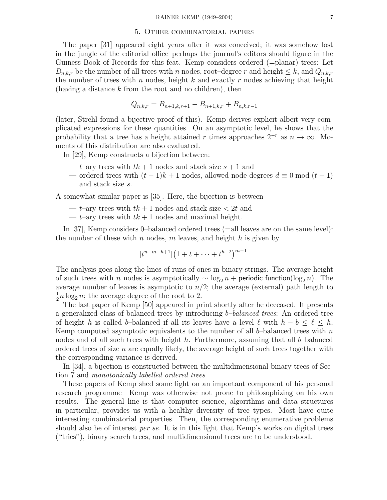#### 5. Other combinatorial papers

The paper [31] appeared eight years after it was conceived; it was somehow lost in the jungle of the editorial office–perhaps the journal's editors should figure in the Guiness Book of Records for this feat. Kemp considers ordered (=planar) trees: Let  $B_{n,k,r}$  be the number of all trees with n nodes, root–degree r and height  $\leq k$ , and  $Q_{n,k,r}$ the number of trees with n nodes, height k and exactly r nodes achieving that height (having a distance  $k$  from the root and no children), then

$$
Q_{n,k,r} = B_{n+1,k,r+1} - B_{n+1,k,r} + B_{n,k,r-1}
$$

(later, Strehl found a bijective proof of this). Kemp derives explicit albeit very complicated expressions for these quantities. On an asymptotic level, he shows that the probability that a tree has a height attained r times approaches  $2^{-r}$  as  $n \to \infty$ . Moments of this distribution are also evaluated.

In [29], Kemp constructs a bijection between:

- t–ary trees with  $tk + 1$  nodes and stack size  $s + 1$  and
- ordered trees with  $(t-1)k+1$  nodes, allowed node degrees  $d \equiv 0 \mod (t-1)$ and stack size s.

A somewhat similar paper is [35]. Here, the bijection is between

- t–ary trees with  $tk + 1$  nodes and stack size  $\lt 2t$  and
- $t$ -ary trees with  $tk + 1$  nodes and maximal height.

In [37], Kemp considers 0–balanced ordered trees (=all leaves are on the same level): the number of these with n nodes, m leaves, and height h is given by

$$
[t^{n-m-h+1}](1+t+\cdots+t^{h-2})^{m-1}.
$$

The analysis goes along the lines of runs of ones in binary strings. The average height of such trees with n nodes is asymptotically  $\sim \log_2 n +$  periodic function(log<sub>2</sub> n). The average number of leaves is asymptotic to  $n/2$ ; the average (external) path length to  $\frac{1}{2}n \log_2 n$ ; the average degree of the root to 2.

The last paper of Kemp [50] appeared in print shortly after he deceased. It presents a generalized class of balanced trees by introducing b*–balanced trees*: An ordered tree of height h is called b–balanced if all its leaves have a level  $\ell$  with  $h - b \leq \ell \leq h$ . Kemp computed asymptotic equivalents to the number of all b-balanced trees with n nodes and of all such trees with height  $h$ . Furthermore, assuming that all  $b$ -balanced ordered trees of size  $n$  are equally likely, the average height of such trees together with the corresponding variance is derived.

In [34], a bijection is constructed between the multidimensional binary trees of Section 7 and *monotonically labelled ordered trees*.

These papers of Kemp shed some light on an important component of his personal research programme—Kemp was otherwise not prone to philosophizing on his own results. The general line is that computer science, algorithms and data structures in particular, provides us with a healthy diversity of tree types. Most have quite interesting combinatorial properties. Then, the corresponding enumerative problems should also be of interest *per se*. It is in this light that Kemp's works on digital trees ("tries"), binary search trees, and multidimensional trees are to be understood.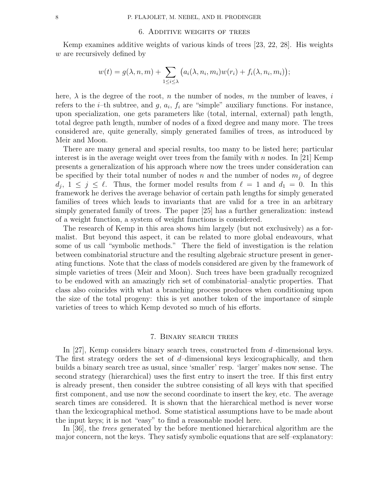# 6. Additive weights of trees

Kemp examines additive weights of various kinds of trees [23, 22, 28]. His weights w are recursively defined by

$$
w(t) = g(\lambda, n, m) + \sum_{1 \leq i \leq \lambda} \big(a_i(\lambda, n_i, m_i) w(r_i) + f_i(\lambda, n_i, m_i)\big);
$$

here,  $\lambda$  is the degree of the root, n the number of nodes, m the number of leaves, i refers to the *i*-th subtree, and  $g$ ,  $a_i$ ,  $f_i$  are "simple" auxiliary functions. For instance, upon specialization, one gets parameters like (total, internal, external) path length, total degree path length, number of nodes of a fixed degree and many more. The trees considered are, quite generally, simply generated families of trees, as introduced by Meir and Moon.

There are many general and special results, too many to be listed here; particular interest is in the average weight over trees from the family with n nodes. In [21] Kemp presents a generalization of his approach where now the trees under consideration can be specified by their total number of nodes n and the number of nodes  $m_i$  of degree  $d_j$ ,  $1 \leq j \leq \ell$ . Thus, the former model results from  $\ell = 1$  and  $d_1 = 0$ . In this framework he derives the average behavior of certain path lengths for simply generated families of trees which leads to invariants that are valid for a tree in an arbitrary simply generated family of trees. The paper [25] has a further generalization: instead of a weight function, a system of weight functions is considered.

The research of Kemp in this area shows him largely (but not exclusively) as a formalist. But beyond this aspect, it can be related to more global endeavours, what some of us call "symbolic methods." There the field of investigation is the relation between combinatorial structure and the resulting algebraic structure present in generating functions. Note that the class of models considered are given by the framework of simple varieties of trees (Meir and Moon). Such trees have been gradually recognized to be endowed with an amazingly rich set of combinatorial–analytic properties. That class also coincides with what a branching process produces when conditioning upon the size of the total progeny: this is yet another token of the importance of simple varieties of trees to which Kemp devoted so much of his efforts.

# 7. Binary search trees

In [27], Kemp considers binary search trees, constructed from  $d$ -dimensional keys. The first strategy orders the set of  $d$ -dimensional keys lexicographically, and then builds a binary search tree as usual, since 'smaller' resp. 'larger' makes now sense. The second strategy (hierarchical) uses the first entry to insert the tree. If this first entry is already present, then consider the subtree consisting of all keys with that specified first component, and use now the second coordinate to insert the key, etc. The average search times are considered. It is shown that the hierarchical method is never worse than the lexicographical method. Some statistical assumptions have to be made about the input keys; it is not "easy" to find a reasonable model here.

In [36], the *trees* generated by the before mentioned hierarchical algorithm are the major concern, not the keys. They satisfy symbolic equations that are self–explanatory: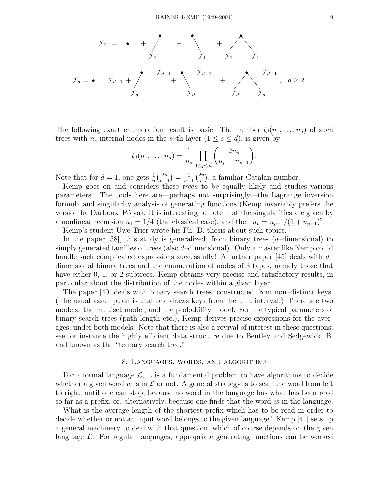

The following exact enumeration result is basic: The number  $t_d(n_1,\ldots,n_d)$  of such trees with  $n_s$  internal nodes in the s-th layer  $(1 \leq s \leq d)$ , is given by

$$
t_d(n_1,...,n_d) = \frac{1}{n_d} \prod_{1 \le p \le d} {2n_p \choose n_p - n_{p-1}}.
$$

Note that for  $d=1$ , one gets  $\frac{1}{n} {2n \choose n-1}$  $\binom{2n}{n-1} = \frac{1}{n+1} \binom{2n}{n}$ , a familiar Catalan number.

Kemp goes on and considers these *trees* to be equally likely and studies various parameters. The tools here are—perhaps not surprisingly—the Lagrange inversion formula and singularity analysis of generating functions (Kemp invariably prefers the version by Darboux–Pólya). It is interesting to note that the singularities are given by a nonlinear recursion  $u_1 = 1/4$  (the classical case), and then  $u_p = u_{p-1}/(1 + u_{p-1})^2$ .

Kemp's student Uwe Trier wrote his Ph. D. thesis about such topics.

In the paper  $[38]$ , this study is generalized, from binary trees  $(d$ -dimensional) to simply generated families of trees (also d–dimensional). Only a master like Kemp could handle such complicated expressions successfully! A further paper [45] deals with  $d$ dimensional binary trees and the enumeration of nodes of 3 types, namely those that have either 0, 1, or 2 subtrees. Kemp obtains very precise and satisfactory results, in particular about the distribution of the nodes within a given layer.

The paper [40] deals with binary search trees, constructed from non–distinct keys. (The usual assumption is that one draws keys from the unit interval.) There are two models: the multiset model, and the probability model. For the typical parameters of binary search trees (path length etc.), Kemp derives precise expressions for the averages, under both models. Note that there is also a revival of interest in these questions: see for instance the highly efficient data structure due to Bentley and Sedgewick [B] and known as the "ternary search tree."

#### 8. Languages, words, and algorithms

For a formal language  $\mathcal{L}$ , it is a fundamental problem to have algorithms to decide whether a given word w is in  $\mathcal L$  or not. A general strategy is to scan the word from left to right, until one can stop, because no word in the language has what has been read so far as a prefix, or, alternatively, because one finds that the word *is* in the language.

What is the average length of the shortest prefix which has to be read in order to decide whether or not an input word belongs to the given language? Kemp [41] sets up a general machinery to deal with that question, which of course depends on the given language  $\mathcal{L}$ . For regular languages, appropriate generating functions can be worked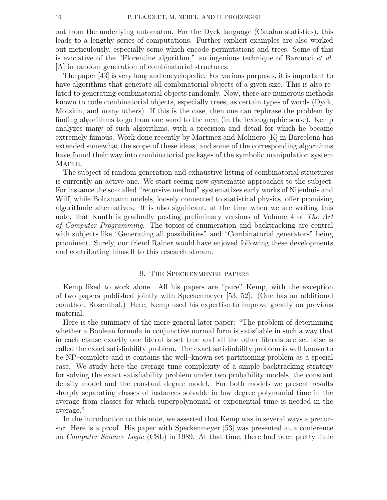out from the underlying automaton. For the Dyck language (Catalan statistics), this leads to a lengthy series of computations. Further explicit examples are also worked out meticulously, especially some which encode permutations and trees. Some of this is evocative of the "Florentine algorithm," an ingenious technique of Barcucci *et al.* [A] in random generation of combinatorial structures.

The paper [43] is very long and encyclopedic. For various purposes, it is important to have algorithms that generate all combinatorial objects of a given size. This is also related to generating combinatorial objects randomly. Now, there are numerous methods known to code combinatorial objects, especially trees, as certain types of words (Dyck, Motzkin, and many others). If this is the case, then one can rephrase the problem by finding algorithms to go from one word to the next (in the lexicographic sense). Kemp analyzes many of such algorithms, with a precision and detail for which he became extremely famous. Work done recently by Martinez and Molinero [K] in Barcelona has extended somewhat the scope of these ideas, and some of the corresponding algorithms have found their way into combinatorial packages of the symbolic manipulation system Maple.

The subject of random generation and exhaustive listing of combinatorial structures is currently an active one. We start seeing now systematic approaches to the subject. For instance the so–called "recursive method" systematizes early works of Nijenhuis and Wilf, while Boltzmann models, loosely connected to statistical physics, offer promising algorithmic alternatives. It is also significant, at the time when we are writing this note, that Knuth is gradually posting preliminary versions of Volume 4 of *The Art of Computer Programming*. The topics of enumeration and backtracking are central with subjects like "Generating all possibilities" and "Combinatorial generators" being prominent. Surely, our friend Rainer would have enjoyed following these developments and contributing himself to this research stream.

# 9. The Speckenmeyer papers

Kemp liked to work alone. All his papers are "pure" Kemp, with the exception of two papers published jointly with Speckenmeyer [53, 52]. (One has an additional coauthor, Rosenthal.) Here, Kemp used his expertise to improve greatly on previous material.

Here is the summary of the more general later paper: "The problem of determining whether a Boolean formula in conjunctive normal form is satisfiable in such a way that in each clause exactly one literal is set true and all the other literals are set false is called the exact satisfiability problem. The exact satisfiability problem is well known to be NP–complete and it contains the well–known set partitioning problem as a special case. We study here the average time complexity of a simple backtracking strategy for solving the exact satisfiability problem under two probability models, the constant density model and the constant degree model. For both models we present results sharply separating classes of instances solvable in low degree polynomial time in the average from classes for which superpolynomial or exponential time is needed in the average."

In the introduction to this note, we asserted that Kemp was in several ways a precursor. Here is a proof. His paper with Speckenmeyer [53] was presented at a conference on *Computer Science Logic* (CSL) in 1989. At that time, there had been pretty little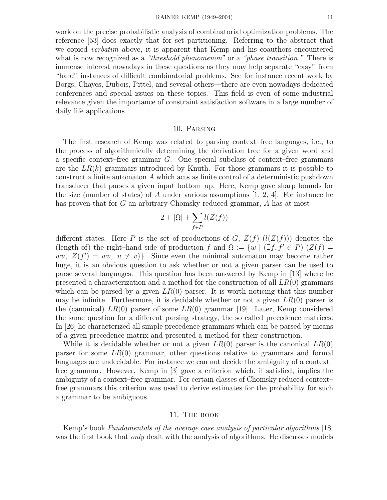work on the precise probabilistic analysis of combinatorial optimization problems. The reference [53] does exactly that for set partitioning. Referring to the abstract that we copied *verbatim* above, it is apparent that Kemp and his coauthors encountered what is now recognized as a *"threshold phenomenon"* or a *"phase transition."* There is immense interest nowadays in these questions as they may help separate "easy" from "hard" instances of difficult combinatorial problems. See for instance recent work by Borgs, Chayes, Dubois, Pittel, and several others—there are even nowadays dedicated conferences and special issues on these topics. This field is even of some industrial relevance given the importance of constraint satisfaction software in a large number of daily life applications.

# 10. Parsing

The first research of Kemp was related to parsing context–free languages, i.e., to the process of algorithmically determining the derivation tree for a given word and a specific context–free grammar G. One special subclass of context–free grammars are the  $LR(k)$  grammars introduced by Knuth. For those grammars it is possible to construct a finite automaton A which acts as finite control of a deterministic pushdown transducer that parses a given input bottom–up. Here, Kemp gave sharp bounds for the size (number of states) of A under various assumptions  $[1, 2, 4]$ . For instance he has proven that for G an arbitrary Chomsky reduced grammar, A has at most

$$
2 + |\Omega| + \sum_{f \in P} l(Z(f))
$$

different states. Here P is the set of productions of G,  $Z(f)$   $(l(Z(f)))$  denotes the (length of) the right–hand side of production f and  $\Omega := \{w \mid (\exists f, f' \in P) (Z(f))\}$  $wu, Z(f') = wv, u \neq v$ . Since even the minimal automaton may become rather huge, it is an obvious question to ask whether or not a given parser can be used to parse several languages. This question has been answered by Kemp in [13] where he presented a characterization and a method for the construction of all  $LR(0)$  grammars which can be parsed by a given  $LR(0)$  parser. It is worth noticing that this number may be infinite. Furthermore, it is decidable whether or not a given  $LR(0)$  parser is the (canonical)  $LR(0)$  parser of some  $LR(0)$  grammar [19]. Later, Kemp considered the same question for a different parsing strategy, the so called precedence matrices. In [26] he characterized all simple precedence grammars which can be parsed by means of a given precedence matrix and presented a method for their construction.

While it is decidable whether or not a given  $LR(0)$  parser is the canonical  $LR(0)$ parser for some  $LR(0)$  grammar, other questions relative to grammars and formal languages are undecidable. For instance we can not decide the ambiguity of a context– free grammar. However, Kemp in [3] gave a criterion which, if satisfied, implies the ambiguity of a context–free grammar. For certain classes of Chomsky reduced context– free grammars this criterion was used to derive estimates for the probability for such a grammar to be ambiguous.

## 11. The book

Kemp's book *Fundamentals of the average case analysis of particular algorithms* [18] was the first book that *only* dealt with the analysis of algorithms. He discusses models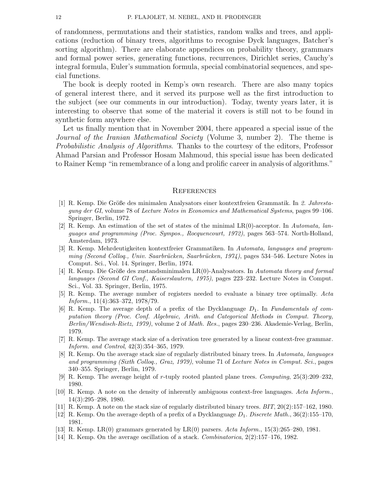of randomness, permutations and their statistics, random walks and trees, and applications (reduction of binary trees, algorithms to recognise Dyck languages, Batcher's sorting algorithm). There are elaborate appendices on probability theory, grammars and formal power series, generating functions, recurrences, Dirichlet series, Cauchy's integral formula, Euler's summation formula, special combinatorial sequences, and special functions.

The book is deeply rooted in Kemp's own research. There are also many topics of general interest there, and it served its purpose well as the first introduction to the subject (see our comments in our introduction). Today, twenty years later, it is interesting to observe that some of the material it covers is still not to be found in synthetic form anywhere else.

Let us finally mention that in November 2004, there appeared a special issue of the *Journal of the Iranian Mathematical Society* (Volume 3, number 2). The theme is *Probabilistic Analysis of Algorithms*. Thanks to the courtesy of the editors, Professor Ahmad Parsian and Professor Hosam Mahmoud, this special issue has been dedicated to Rainer Kemp "in remembrance of a long and prolific career in analysis of algorithms."

## **REFERENCES**

- [1] R. Kemp. Die Gr¨oße des minimalen Analysators einer kontextfreien Grammatik. In *2. Jahrestagung der GI*, volume 78 of *Lecture Notes in Economics and Mathematical Systems*, pages 99–106. Springer, Berlin, 1972.
- [2] R. Kemp. An estimation of the set of states of the minimal LR(0)-acceptor. In *Automata, languages and programming (Proc. Sympos., Rocquencourt, 1972)*, pages 563–574. North-Holland, Amsterdam, 1973.
- [3] R. Kemp. Mehrdeutigkeiten kontextfreier Grammatiken. In *Automata, languages and programming (Second Colloq., Univ. Saarbrücken, Saarbrücken, 1974)*, pages 534–546. Lecture Notes in Comput. Sci., Vol. 14. Springer, Berlin, 1974.
- [4] R. Kemp. Die Größe des zustandsminimalen LR(0)-Analysators. In *Automata theory and formal languages (Second GI Conf., Kaiserslautern, 1975)*, pages 223–232. Lecture Notes in Comput. Sci., Vol. 33. Springer, Berlin, 1975.
- [5] R. Kemp. The average number of registers needed to evaluate a binary tree optimally. *Acta Inform.*, 11(4):363–372, 1978/79.
- [6] R. Kemp. The average depth of a prefix of the Dycklanguage *D*1. In *Fundamentals of computation theory (Proc. Conf. Algebraic, Arith. and Categorical Methods in Comput. Theory, Berlin/Wendisch-Rietz, 1979)*, volume 2 of *Math. Res.*, pages 230–236. Akademie-Verlag, Berlin, 1979.
- [7] R. Kemp. The average stack size of a derivation tree generated by a linear context-free grammar. *Inform. and Control*, 42(3):354–365, 1979.
- [8] R. Kemp. On the average stack size of regularly distributed binary trees. In *Automata, languages and programming (Sixth Colloq., Graz, 1979)*, volume 71 of *Lecture Notes in Comput. Sci.*, pages 340–355. Springer, Berlin, 1979.
- [9] R. Kemp. The average height of *r*-tuply rooted planted plane trees. *Computing*, 25(3):209–232, 1980.
- [10] R. Kemp. A note on the density of inherently ambiguous context-free languages. *Acta Inform.*, 14(3):295–298, 1980.
- [11] R. Kemp. A note on the stack size of regularly distributed binary trees. *BIT*, 20(2):157–162, 1980.
- [12] R. Kemp. On the average depth of a prefix of a Dycklanguage  $D_1$ . *Discrete Math.*, 36(2):155–170, 1981.
- [13] R. Kemp. LR(0) grammars generated by LR(0) parsers. *Acta Inform.*, 15(3):265–280, 1981.
- [14] R. Kemp. On the average oscillation of a stack. *Combinatorica*, 2(2):157–176, 1982.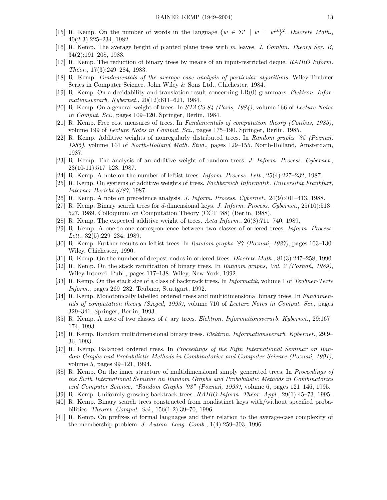- [15] R. Kemp. On the number of words in the language  $\{w \in \Sigma^* \mid w = w^R\}^2$ . *Discrete Math.*, 40(2-3):225–234, 1982.
- [16] R. Kemp. The average height of planted plane trees with *m* leaves. *J. Combin. Theory Ser. B*, 34(2):191–208, 1983.
- [17] R. Kemp. The reduction of binary trees by means of an input-restricted deque. *RAIRO Inform. Th´eor.*, 17(3):249–284, 1983.
- [18] R. Kemp. *Fundamentals of the average case analysis of particular algorithms*. Wiley-Teubner Series in Computer Science. John Wiley & Sons Ltd., Chichester, 1984.
- [19] R. Kemp. On a decidability and translation result concerning LR(0) grammars. *Elektron. Informationsverarb. Kybernet.*, 20(12):611–621, 1984.
- [20] R. Kemp. On a general weight of trees. In *STACS 84 (Paris, 1984)*, volume 166 of *Lecture Notes in Comput. Sci.*, pages 109–120. Springer, Berlin, 1984.
- [21] R. Kemp. Free cost measures of trees. In *Fundamentals of computation theory (Cottbus, 1985)*, volume 199 of *Lecture Notes in Comput. Sci.*, pages 175–190. Springer, Berlin, 1985.
- [22] R. Kemp. Additive weights of nonregularly distributed trees. In *Random graphs '85 (Pozna´n, 1985)*, volume 144 of *North-Holland Math. Stud.*, pages 129–155. North-Holland, Amsterdam, 1987.
- [23] R. Kemp. The analysis of an additive weight of random trees. *J. Inform. Process. Cybernet.*, 23(10-11):517–528, 1987.
- [24] R. Kemp. A note on the number of leftist trees. *Inform. Process. Lett.*, 25(4):227–232, 1987.
- [25] R. Kemp. On systems of additive weights of trees. *Fachbereich Informatik, Universität Frankfurt*, *Interner Bericht 6/87*, 1987.
- [26] R. Kemp. A note on precedence analysis. *J. Inform. Process. Cybernet.*, 24(9):401–413, 1988.
- [27] R. Kemp. Binary search trees for *d*-dimensional keys. *J. Inform. Process. Cybernet.*, 25(10):513– 527, 1989. Colloquium on Computation Theory (CCT '88) (Berlin, 1988).
- [28] R. Kemp. The expected additive weight of trees. *Acta Inform.*, 26(8):711–740, 1989.
- [29] R. Kemp. A one-to-one correspondence between two classes of ordered trees. *Inform. Process. Lett.*, 32(5):229–234, 1989.
- [30] R. Kemp. Further results on leftist trees. In *Random graphs '87 (Pozna´n, 1987)*, pages 103–130. Wiley, Chichester, 1990.
- [31] R. Kemp. On the number of deepest nodes in ordered trees. *Discrete Math.*, 81(3):247–258, 1990.
- [32] R. Kemp. On the stack ramification of binary trees. In *Random graphs, Vol. 2 (Pozna´n, 1989)*, Wiley-Intersci. Publ., pages 117–138. Wiley, New York, 1992.
- [33] R. Kemp. On the stack size of a class of backtrack trees. In *Informatik*, volume 1 of *Teubner-Texte Inform.*, pages 269–282. Teubner, Stuttgart, 1992.
- [34] R. Kemp. Monotonically labelled ordered trees and multidimensional binary trees. In *Fundamentals of computation theory (Szeged, 1993)*, volume 710 of *Lecture Notes in Comput. Sci.*, pages 329–341. Springer, Berlin, 1993.
- [35] R. Kemp. A note of two classes of *t*–ary trees. *Elektron. Informationsverarb. Kybernet.*, 29:167– 174, 1993.
- [36] R. Kemp. Random multidimensional binary trees. *Elektron. Informationsverarb. Kybernet.*, 29:9– 36, 1993.
- [37] R. Kemp. Balanced ordered trees. In *Proceedings of the Fifth International Seminar on Random Graphs and Probabilistic Methods in Combinatorics and Computer Science (Pozna´n, 1991)*, volume 5, pages 99–121, 1994.
- [38] R. Kemp. On the inner structure of multidimensional simply generated trees. In *Proceedings of the Sixth International Seminar on Random Graphs and Probabilistic Methods in Combinatorics and Computer Science, "Random Graphs '93" (Pozna´n, 1993)*, volume 6, pages 121–146, 1995.
- [39] R. Kemp. Uniformly growing backtrack trees. *RAIRO Inform. Theor. Appl.*, 29(1):45–73, 1995.
- [40] R. Kemp. Binary search trees constructed from nondistinct keys with/without specified probabilities. *Theoret. Comput. Sci.*, 156(1-2):39–70, 1996.
- [41] R. Kemp. On prefixes of formal languages and their relation to the average-case complexity of the membership problem. *J. Autom. Lang. Comb.*, 1(4):259–303, 1996.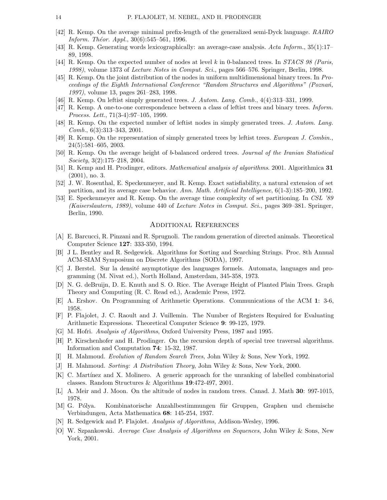- [42] R. Kemp. On the average minimal prefix-length of the generalized semi-Dyck language. *RAIRO Inform. Théor. Appl.*, 30(6):545–561, 1996.
- [43] R. Kemp. Generating words lexicographically: an average-case analysis. *Acta Inform.*, 35(1):17– 89, 1998.
- [44] R. Kemp. On the expected number of nodes at level *k* in 0-balanced trees. In *STACS 98 (Paris, 1998)*, volume 1373 of *Lecture Notes in Comput. Sci.*, pages 566–576. Springer, Berlin, 1998.
- [45] R. Kemp. On the joint distribution of the nodes in uniform multidimensional binary trees. In *Proceedings of the Eighth International Conference "Random Structures and Algorithms" (Pozna´n, 1997)*, volume 13, pages 261–283, 1998.
- [46] R. Kemp. On leftist simply generated trees. *J. Autom. Lang. Comb.*, 4(4):313–331, 1999.
- [47] R. Kemp. A one-to-one correspondence between a class of leftist trees and binary trees. *Inform. Process. Lett.*, 71(3-4):97–105, 1999.
- [48] R. Kemp. On the expected number of leftist nodes in simply generated trees. *J. Autom. Lang. Comb.*, 6(3):313–343, 2001.
- [49] R. Kemp. On the representation of simply generated trees by leftist trees. *European J. Combin.*, 24(5):581–605, 2003.
- [50] R. Kemp. On the average height of *b*-balanced ordered trees. *Journal of the Iranian Statistical Society*, 3(2):175–218, 2004.
- [51] R. Kemp and H. Prodinger, editors. *Mathematical analysis of algorithms*. 2001. Algorithmica **31** (2001), no. 3.
- [52] J. W. Rosenthal, E. Speckenmeyer, and R. Kemp. Exact satisfiability, a natural extension of set partition, and its average case behavior. *Ann. Math. Artificial Intelligence*, 6(1-3):185–200, 1992.
- [53] E. Speckenmeyer and R. Kemp. On the average time complexity of set partitioning. In *CSL '89 (Kaiserslautern, 1989)*, volume 440 of *Lecture Notes in Comput. Sci.*, pages 369–381. Springer, Berlin, 1990.

### Additional References

- [A] E. Barcucci, R. Pinzani and R. Sprugnoli. The random generation of directed animals. Theoretical Computer Science **127**: 333-350, 1994.
- [B] J L. Bentley and R. Sedgewick. Algorithms for Sorting and Searching Strings. Proc. 8th Annual ACM-SIAM Symposium on Discrete Algorithms (SODA), 1997.
- [C] J. Berstel. Sur la densité asymptotique des languages formels. Automata, languages and programming (M. Nivat ed.), North Holland, Amsterdam, 345-358, 1973.
- [D] N. G. deBruijn, D. E. Knuth and S. O. Rice. The Average Height of Planted Plain Trees. Graph Theory and Computing (R. C. Read ed.), Academic Press, 1972.
- [E] A. Ershov. On Programming of Arithmetic Operations. Communications of the ACM **1**: 3-6, 1958.
- [F] P. Flajolet, J. C. Raoult and J. Vuillemin. The Number of Registers Required for Evaluating Arithmetic Expressions. Theoretical Computer Science **9**: 99-125, 1979.
- [G] M. Hofri. *Analysis of Algorithms*, Oxford University Press, 1987 and 1995.
- [H] P. Kirschenhofer and H. Prodinger. On the recursion depth of special tree traversal algorithms. Information and Computation **74**: 15-32, 1987.
- [I] H. Mahmoud. *Evolution of Random Search Trees*, John Wiley & Sons, New York, 1992.
- [J] H. Mahmoud. *Sorting: A Distribution Theory*, John Wiley & Sons, New York, 2000.
- [K] C. Martínez and X. Molinero. A generic approach for the unranking of labelled combinatorial classes. Random Structures & Algorithms **19**:472-497, 2001.
- [L] A. Meir and J. Moon. On the altitude of nodes in random trees. Canad. J. Math **30**: 997-1015, 1978.
- [M] G. Pólya. Kombinatorische Anzahlbestimmungen für Gruppen, Graphen und chemische Verbindungen, Acta Mathematica **68**: 145-254, 1937.
- [N] R. Sedgewick and P. Flajolet. *Analysis of Algorithms*, Addison-Wesley, 1996.
- [O] W. Szpankowski. *Average Case Analysis of Algorithms on Sequences*, John Wiley & Sons, New York, 2001.